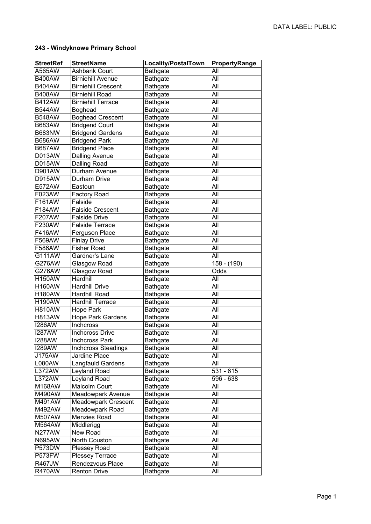## **243 - Windyknowe Primary School**

| <b>StreetRef</b> | <b>StreetName</b>          | Locality/PostalTown | PropertyRange |
|------------------|----------------------------|---------------------|---------------|
| A565AW           | <b>Ashbank Court</b>       | <b>Bathgate</b>     | All           |
| <b>B400AW</b>    | <b>Birniehill Avenue</b>   | <b>Bathgate</b>     | All           |
| <b>B404AW</b>    | <b>Birniehill Crescent</b> | <b>Bathgate</b>     | All           |
| <b>B408AW</b>    | <b>Birniehill Road</b>     | <b>Bathgate</b>     | All           |
| <b>B412AW</b>    | <b>Birniehill Terrace</b>  | <b>Bathgate</b>     | All           |
| <b>B544AW</b>    | <b>Boghead</b>             | <b>Bathgate</b>     | All           |
| <b>B548AW</b>    | <b>Boghead Crescent</b>    | <b>Bathgate</b>     | All           |
| <b>B683AW</b>    | <b>Bridgend Court</b>      | <b>Bathgate</b>     | All           |
| <b>B683NW</b>    | <b>Bridgend Gardens</b>    | <b>Bathgate</b>     | All           |
| <b>B686AW</b>    | <b>Bridgend Park</b>       | <b>Bathgate</b>     | All           |
| <b>B687AW</b>    | <b>Bridgend Place</b>      | <b>Bathgate</b>     | All           |
| D013AW           | <b>Dalling Avenue</b>      | <b>Bathgate</b>     | All           |
| D015AW           | <b>Dalling Road</b>        | <b>Bathgate</b>     | All           |
| D901AW           | Durham Avenue              | <b>Bathgate</b>     | All           |
| <b>D915AW</b>    | Durham Drive               | <b>Bathgate</b>     | All           |
| E572AW           | Eastoun                    | <b>Bathgate</b>     | All           |
| F023AW           | <b>Factory Road</b>        | <b>Bathgate</b>     | All           |
| F161AW           | Falside                    | <b>Bathgate</b>     | All           |
| F184AW           | <b>Falside Crescent</b>    | <b>Bathgate</b>     | All           |
| F207AW           | <b>Falside Drive</b>       | <b>Bathgate</b>     | All           |
| F230AW           | <b>Falside Terrace</b>     | <b>Bathgate</b>     | All           |
| F416AW           | Ferguson Place             | <b>Bathgate</b>     | All           |
| F569AW           | <b>Finlay Drive</b>        | <b>Bathgate</b>     | All           |
| F586AW           | <b>Fisher Road</b>         | <b>Bathgate</b>     | All           |
| G111AW           | Gardner's Lane             | <b>Bathgate</b>     | All           |
| G276AW           | Glasgow Road               | <b>Bathgate</b>     | 158 - (190)   |
| G276AW           | Glasgow Road               | <b>Bathgate</b>     | Odds          |
| <b>H150AW</b>    | Hardhill                   | <b>Bathgate</b>     | All           |
| <b>H160AW</b>    | <b>Hardhill Drive</b>      | <b>Bathgate</b>     | All           |
| <b>H180AW</b>    | Hardhill Road              | <b>Bathgate</b>     | All           |
| <b>H190AW</b>    | <b>Hardhill Terrace</b>    | <b>Bathgate</b>     | All           |
| <b>H810AW</b>    | Hope Park                  | <b>Bathgate</b>     | All           |
| <b>H813AW</b>    | <b>Hope Park Gardens</b>   | <b>Bathgate</b>     | All           |
| <b>I286AW</b>    | Inchcross                  | <b>Bathgate</b>     | All           |
| <b>I287AW</b>    | <b>Inchcross Drive</b>     | <b>Bathgate</b>     | All           |
| <b>I288AW</b>    | Inchcross Park             | <b>Bathgate</b>     | All           |
| <b>I289AW</b>    | <b>Inchcross Steadings</b> | <b>Bathgate</b>     | All           |
| J175AW           | Jardine Place              | <b>Bathgate</b>     | All           |
| L080AW           | Langfauld Gardens          | <b>Bathgate</b>     | All           |
| L372AW           | Leyland Road               | <b>Bathgate</b>     | 531 - 615     |
| L372AW           | Leyland Road               | <b>Bathgate</b>     | 596 - 638     |
| M168AW           | Malcolm Court              | <b>Bathgate</b>     | All           |
| M490AW           | Meadowpark Avenue          | <b>Bathgate</b>     | All           |
| M491AW           | Meadowpark Crescent        | <b>Bathgate</b>     | All           |
| M492AW           | Meadowpark Road            | <b>Bathgate</b>     | All           |
| <b>M507AW</b>    | Menzies Road               | <b>Bathgate</b>     | All           |
| M564AW           | Middlerigg                 | <b>Bathgate</b>     | All           |
| N277AW           | New Road                   | <b>Bathgate</b>     | All           |
| <b>N695AW</b>    | North Couston              | <b>Bathgate</b>     | All           |
| P573DW           | Plessey Road               | <b>Bathgate</b>     | All           |
| P573FW           | Plessey Terrace            | <b>Bathgate</b>     | All           |
| <b>R467JW</b>    | Rendezvous Place           | <b>Bathgate</b>     | All           |
| <b>R470AW</b>    | <b>Renton Drive</b>        | <b>Bathgate</b>     | All           |